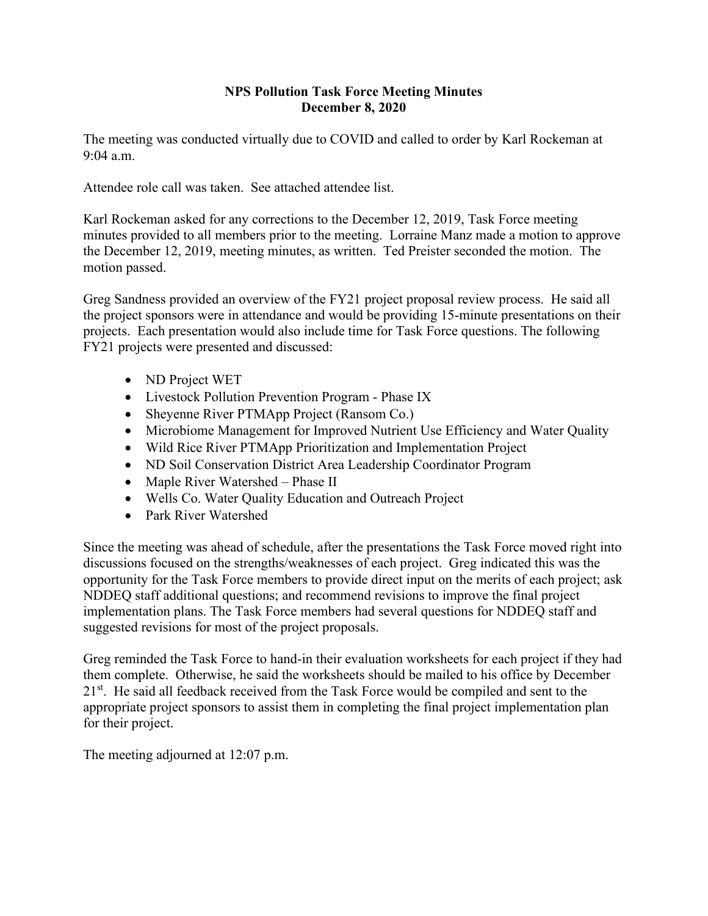## **NPS Pollution Task Force Meeting Minutes December 8, 2020**

The meeting was conducted virtually due to COVID and called to order by Karl Rockeman at 9:04 a.m.

Attendee role call was taken. See attached attendee list.

Karl Rockeman asked for any corrections to the December 12, 2019, Task Force meeting minutes provided to all members prior to the meeting. Lorraine Manz made a motion to approve the December 12, 2019, meeting minutes, as written. Ted Preister seconded the motion. The motion passed.

Greg Sandness provided an overview of the FY21 project proposal review process. He said all the project sponsors were in attendance and would be providing 15-minute presentations on their projects. Each presentation would also include time for Task Force questions. The following FY21 projects were presented and discussed:

- ND Project WET
- Livestock Pollution Prevention Program Phase IX
- Sheyenne River PTMApp Project (Ransom Co.)
- Microbiome Management for Improved Nutrient Use Efficiency and Water Quality
- Wild Rice River PTMApp Prioritization and Implementation Project
- ND Soil Conservation District Area Leadership Coordinator Program
- Maple River Watershed Phase II
- Wells Co. Water Quality Education and Outreach Project
- Park River Watershed

Since the meeting was ahead of schedule, after the presentations the Task Force moved right into discussions focused on the strengths/weaknesses of each project. Greg indicated this was the opportunity for the Task Force members to provide direct input on the merits of each project; ask NDDEQ staff additional questions; and recommend revisions to improve the final project implementation plans. The Task Force members had several questions for NDDEQ staff and suggested revisions for most of the project proposals.

Greg reminded the Task Force to hand-in their evaluation worksheets for each project if they had them complete. Otherwise, he said the worksheets should be mailed to his office by December 21<sup>st</sup>. He said all feedback received from the Task Force would be compiled and sent to the appropriate project sponsors to assist them in completing the final project implementation plan for their project.

The meeting adjourned at 12:07 p.m.